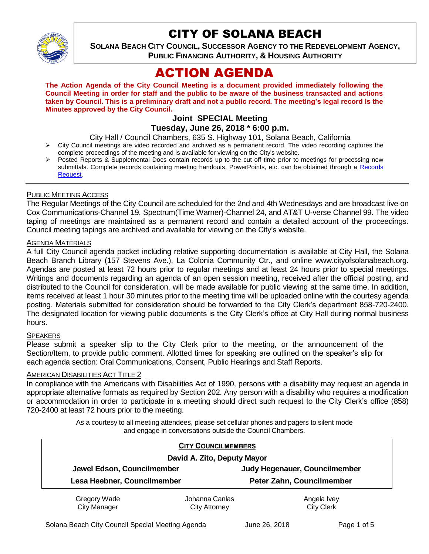

# CITY OF SOLANA BEACH

**SOLANA BEACH CITY COUNCIL, SUCCESSOR AGENCY TO THE REDEVELOPMENT AGENCY, PUBLIC FINANCING AUTHORITY, & HOUSING AUTHORITY** 

# ACTION AGENDA

**The Action Agenda of the City Council Meeting is a document provided immediately following the Council Meeting in order for staff and the public to be aware of the business transacted and actions taken by Council. This is a preliminary draft and not a public record. The meeting's legal record is the Minutes approved by the City Council.**

# **Joint SPECIAL Meeting**

#### **Tuesday, June 26, 2018 \* 6:00 p.m.**

- City Hall / Council Chambers, 635 S. Highway 101, Solana Beach, California
- $\triangleright$  City Council meetings are video recorded and archived as a permanent record. The video recording captures the complete proceedings of the meeting and is available for viewing on the City's website.
- Posted Reports & Supplemental Docs contain records up to the cut off time prior to meetings for processing new submittals. Complete records containing meeting handouts, PowerPoints, etc. can be obtained through a [Records](http://www.ci.solana-beach.ca.us/index.asp?SEC=F5D45D10-70CE-4291-A27C-7BD633FC6742&Type=B_BASIC)  [Request.](http://www.ci.solana-beach.ca.us/index.asp?SEC=F5D45D10-70CE-4291-A27C-7BD633FC6742&Type=B_BASIC)

#### PUBLIC MEETING ACCESS

The Regular Meetings of the City Council are scheduled for the 2nd and 4th Wednesdays and are broadcast live on Cox Communications-Channel 19, Spectrum(Time Warner)-Channel 24, and AT&T U-verse Channel 99. The video taping of meetings are maintained as a permanent record and contain a detailed account of the proceedings. Council meeting tapings are archived and available for viewing on the City's website.

#### AGENDA MATERIALS

A full City Council agenda packet including relative supporting documentation is available at City Hall, the Solana Beach Branch Library (157 Stevens Ave.), La Colonia Community Ctr., and online www.cityofsolanabeach.org. Agendas are posted at least 72 hours prior to regular meetings and at least 24 hours prior to special meetings. Writings and documents regarding an agenda of an open session meeting, received after the official posting, and distributed to the Council for consideration, will be made available for public viewing at the same time. In addition, items received at least 1 hour 30 minutes prior to the meeting time will be uploaded online with the courtesy agenda posting. Materials submitted for consideration should be forwarded to the City Clerk's department 858-720-2400. The designated location for viewing public documents is the City Clerk's office at City Hall during normal business hours.

#### SPEAKERS

Please submit a speaker slip to the City Clerk prior to the meeting, or the announcement of the Section/Item, to provide public comment. Allotted times for speaking are outlined on the speaker's slip for each agenda section: Oral Communications, Consent, Public Hearings and Staff Reports.

#### AMERICAN DISABILITIES ACT TITLE 2

In compliance with the Americans with Disabilities Act of 1990, persons with a disability may request an agenda in appropriate alternative formats as required by Section 202. Any person with a disability who requires a modification or accommodation in order to participate in a meeting should direct such request to the City Clerk's office (858) 720-2400 at least 72 hours prior to the meeting.

> As a courtesy to all meeting attendees, please set cellular phones and pagers to silent mode and engage in conversations outside the Council Chambers.

| <b>CITY COUNCILMEMBERS</b><br>David A. Zito, Deputy Mayor |                      |                           |
|-----------------------------------------------------------|----------------------|---------------------------|
|                                                           |                      |                           |
| Lesa Heebner, Councilmember                               |                      | Peter Zahn, Councilmember |
| Gregory Wade                                              | Johanna Canlas       | Angela Ivey               |
| <b>City Manager</b>                                       | <b>City Attorney</b> | <b>City Clerk</b>         |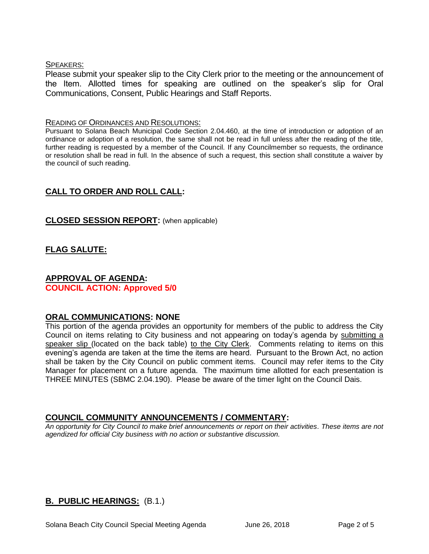#### SPEAKERS:

Please submit your speaker slip to the City Clerk prior to the meeting or the announcement of the Item. Allotted times for speaking are outlined on the speaker's slip for Oral Communications, Consent, Public Hearings and Staff Reports.

#### READING OF ORDINANCES AND RESOLUTIONS:

Pursuant to Solana Beach Municipal Code Section 2.04.460, at the time of introduction or adoption of an ordinance or adoption of a resolution, the same shall not be read in full unless after the reading of the title, further reading is requested by a member of the Council. If any Councilmember so requests, the ordinance or resolution shall be read in full. In the absence of such a request, this section shall constitute a waiver by the council of such reading.

## **CALL TO ORDER AND ROLL CALL:**

#### **CLOSED SESSION REPORT:** (when applicable)

# **FLAG SALUTE:**

# **APPROVAL OF AGENDA: COUNCIL ACTION: Approved 5/0**

#### **ORAL COMMUNICATIONS: NONE**

This portion of the agenda provides an opportunity for members of the public to address the City Council on items relating to City business and not appearing on today's agenda by submitting a speaker slip (located on the back table) to the City Clerk. Comments relating to items on this evening's agenda are taken at the time the items are heard. Pursuant to the Brown Act, no action shall be taken by the City Council on public comment items. Council may refer items to the City Manager for placement on a future agenda. The maximum time allotted for each presentation is THREE MINUTES (SBMC 2.04.190). Please be aware of the timer light on the Council Dais.

## **COUNCIL COMMUNITY ANNOUNCEMENTS / COMMENTARY:**

*An opportunity for City Council to make brief announcements or report on their activities. These items are not agendized for official City business with no action or substantive discussion.* 

# **B. PUBLIC HEARINGS:** (B.1.)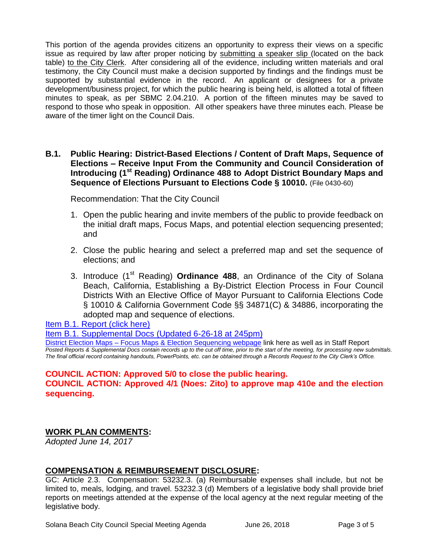This portion of the agenda provides citizens an opportunity to express their views on a specific issue as required by law after proper noticing by submitting a speaker slip (located on the back table) to the City Clerk. After considering all of the evidence, including written materials and oral testimony, the City Council must make a decision supported by findings and the findings must be supported by substantial evidence in the record. An applicant or designees for a private development/business project, for which the public hearing is being held, is allotted a total of fifteen minutes to speak, as per SBMC 2.04.210. A portion of the fifteen minutes may be saved to respond to those who speak in opposition. All other speakers have three minutes each. Please be aware of the timer light on the Council Dais.

### **B.1. Public Hearing: District-Based Elections / Content of Draft Maps, Sequence of Elections – Receive Input From the Community and Council Consideration of Introducing (1st Reading) Ordinance 488 to Adopt District Boundary Maps and Sequence of Elections Pursuant to Elections Code § 10010.** (File 0430-60)

Recommendation: That the City Council

- 1. Open the public hearing and invite members of the public to provide feedback on the initial draft maps, Focus Maps, and potential election sequencing presented; and
- 2. Close the public hearing and select a preferred map and set the sequence of elections; and
- 3. Introduce (1st Reading) **Ordinance 488**, an Ordinance of the City of Solana Beach, California, Establishing a By-District Election Process in Four Council Districts With an Elective Office of Mayor Pursuant to California Elections Code § 10010 & California Government Code §§ 34871(C) & 34886, incorporating the adopted map and sequence of elections.

[Item B.1. Report \(click here\)](https://solanabeach.govoffice3.com/vertical/Sites/%7B840804C2-F869-4904-9AE3-720581350CE7%7D/uploads/Item_B.1._Report_(click_here)_06-26-18.pdf)

[Item B.1. Supplemental Docs](https://solanabeach.govoffice3.com/vertical/Sites/%7B840804C2-F869-4904-9AE3-720581350CE7%7D/uploads/B.1._Supplemental_Items_(6-26_at_3pm)_-_R.pdf) (Updated 6-26-18 at 245pm)

District Election Maps – [Focus Maps & Election Sequencing webpage](District%20Election%20Maps%20–%20Focus%20Maps%20&%20Election%20Sequencing%20webpage) link here as well as in Staff Report *Posted Reports & Supplemental Docs contain records up to the cut off time, prior to the start of the meeting, for processing new submittals. The final official record containing handouts, PowerPoints, etc. can be obtained through a Records Request to the City Clerk's Office.*

# **COUNCIL ACTION: Approved 5/0 to close the public hearing. COUNCIL ACTION: Approved 4/1 (Noes: Zito) to approve map 410e and the election sequencing.**

## **WORK PLAN COMMENTS:**

*Adopted June 14, 2017*

## **COMPENSATION & REIMBURSEMENT DISCLOSURE:**

GC: Article 2.3. Compensation: 53232.3. (a) Reimbursable expenses shall include, but not be limited to, meals, lodging, and travel. 53232.3 (d) Members of a legislative body shall provide brief reports on meetings attended at the expense of the local agency at the next regular meeting of the legislative body.